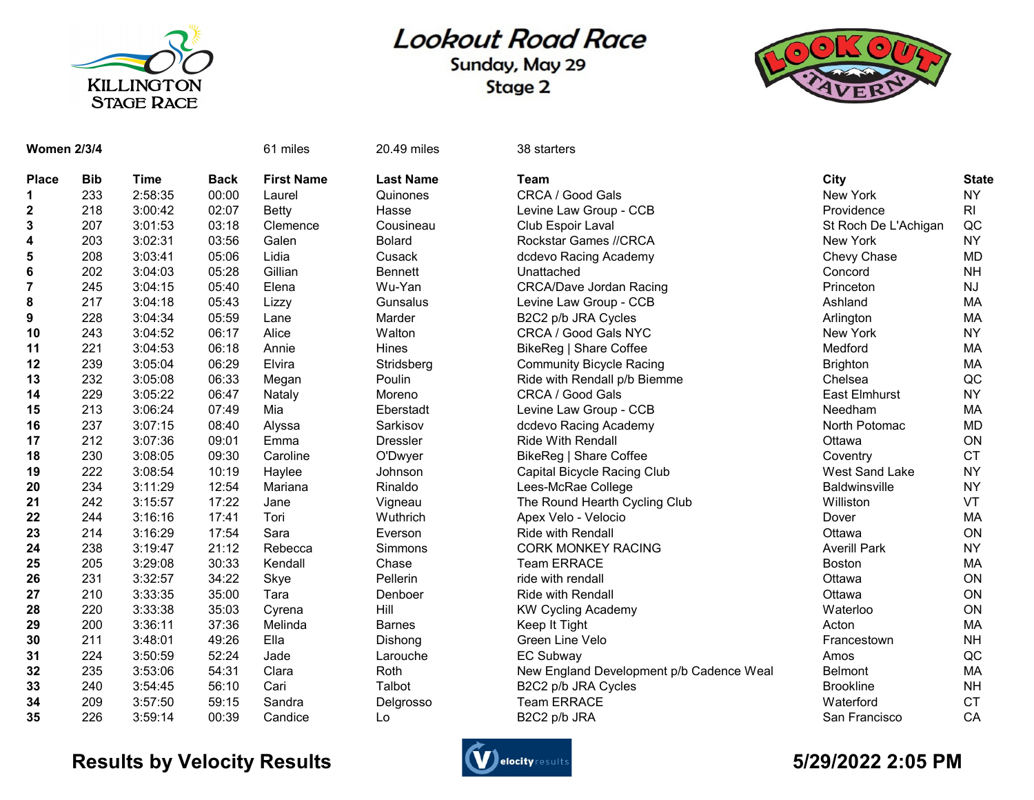

## **Lookout Road Race**

Sunday, May 29 Stage 2



| <b>Women 2/3/4</b> |            |             |             | 61 miles          | 20.49 miles      | 38 starters                              |                       |                |
|--------------------|------------|-------------|-------------|-------------------|------------------|------------------------------------------|-----------------------|----------------|
| <b>Place</b>       | <b>Bib</b> | <b>Time</b> | <b>Back</b> | <b>First Name</b> | <b>Last Name</b> | <b>Team</b>                              | City                  | <b>State</b>   |
| 1                  | 233        | 2:58:35     | 00:00       | Laurel            | Quinones         | CRCA / Good Gals                         | New York              | <b>NY</b>      |
| 2                  | 218        | 3:00:42     | 02:07       | <b>Betty</b>      | Hasse            | Levine Law Group - CCB                   | Providence            | R <sub>l</sub> |
| 3                  | 207        | 3:01:53     | 03:18       | Clemence          | Cousineau        | Club Espoir Laval                        | St Roch De L'Achigan  | QC             |
| 4                  | 203        | 3:02:31     | 03:56       | Galen             | <b>Bolard</b>    | Rockstar Games //CRCA                    | New York              | <b>NY</b>      |
| 5                  | 208        | 3:03:41     | 05:06       | Lidia             | Cusack           | dcdevo Racing Academy                    | Chevy Chase           | <b>MD</b>      |
| 6                  | 202        | 3:04:03     | 05:28       | Gillian           | <b>Bennett</b>   | Unattached                               | Concord               | <b>NH</b>      |
| $\overline{7}$     | 245        | 3:04:15     | 05:40       | Elena             | Wu-Yan           | <b>CRCA/Dave Jordan Racing</b>           | Princeton             | <b>NJ</b>      |
| 8                  | 217        | 3:04:18     | 05:43       | Lizzy             | Gunsalus         | Levine Law Group - CCB                   | Ashland               | МA             |
| 9                  | 228        | 3:04:34     | 05:59       | Lane              | Marder           | B2C2 p/b JRA Cycles                      | Arlington             | MA             |
| 10                 | 243        | 3:04:52     | 06:17       | Alice             | Walton           | CRCA / Good Gals NYC                     | New York              | <b>NY</b>      |
| 11                 | 221        | 3:04:53     | 06:18       | Annie             | Hines            | BikeReg   Share Coffee                   | Medford               | MA             |
| 12                 | 239        | 3:05:04     | 06:29       | Elvira            | Stridsberg       | <b>Community Bicycle Racing</b>          | <b>Brighton</b>       | MA             |
| 13                 | 232        | 3:05:08     | 06:33       | Megan             | Poulin           | Ride with Rendall p/b Biemme             | Chelsea               | QC             |
| 14                 | 229        | 3:05:22     | 06:47       | Nataly            | Moreno           | CRCA / Good Gals                         | <b>East Elmhurst</b>  | <b>NY</b>      |
| 15                 | 213        | 3:06:24     | 07:49       | Mia               | Eberstadt        | Levine Law Group - CCB                   | Needham               | MA             |
| 16                 | 237        | 3:07:15     | 08:40       | Alyssa            | Sarkisov         | dcdevo Racing Academy                    | North Potomac         | <b>MD</b>      |
| 17                 | 212        | 3:07:36     | 09:01       | Emma              | <b>Dressler</b>  | <b>Ride With Rendall</b>                 | Ottawa                | ON             |
| 18                 | 230        | 3:08:05     | 09:30       | Caroline          | O'Dwyer          | BikeReg   Share Coffee                   | Coventry              | <b>CT</b>      |
| 19                 | 222        | 3:08:54     | 10:19       | Haylee            | Johnson          | Capital Bicycle Racing Club              | <b>West Sand Lake</b> | <b>NY</b>      |
| 20                 | 234        | 3:11:29     | 12:54       | Mariana           | Rinaldo          | Lees-McRae College                       | <b>Baldwinsville</b>  | <b>NY</b>      |
| 21                 | 242        | 3:15:57     | 17:22       | Jane              | Vigneau          | The Round Hearth Cycling Club            | Williston             | VT             |
| 22                 | 244        | 3:16:16     | 17:41       | Tori              | Wuthrich         | Apex Velo - Velocio                      | Dover                 | MA             |
| 23                 | 214        | 3:16:29     | 17:54       | Sara              | Everson          | <b>Ride with Rendall</b>                 | Ottawa                | ON             |
| 24                 | 238        | 3:19:47     | 21:12       | Rebecca           | Simmons          | <b>CORK MONKEY RACING</b>                | <b>Averill Park</b>   | <b>NY</b>      |
| 25                 | 205        | 3:29:08     | 30:33       | Kendall           | Chase            | <b>Team ERRACE</b>                       | <b>Boston</b>         | <b>MA</b>      |
| 26                 | 231        | 3:32:57     | 34:22       | Skye              | Pellerin         | ride with rendall                        | Ottawa                | ON             |
| 27                 | 210        | 3:33:35     | 35:00       | Tara              | Denboer          | <b>Ride with Rendall</b>                 | Ottawa                | ON             |
| 28                 | 220        | 3:33:38     | 35:03       | Cyrena            | Hill             | <b>KW Cycling Academy</b>                | Waterloo              | ON             |
| 29                 | 200        | 3:36:11     | 37:36       | Melinda           | <b>Barnes</b>    | Keep It Tight                            | Acton                 | MA             |
| 30                 | 211        | 3:48:01     | 49:26       | Ella              | Dishong          | Green Line Velo                          | Francestown           | <b>NH</b>      |
| 31                 | 224        | 3:50:59     | 52:24       | Jade              | Larouche         | <b>EC Subway</b>                         | Amos                  | QC             |
| 32                 | 235        | 3:53:06     | 54:31       | Clara             | Roth             | New England Development p/b Cadence Weal | <b>Belmont</b>        | MA             |
| 33                 | 240        | 3:54:45     | 56:10       | Cari              | Talbot           | B2C2 p/b JRA Cycles                      | <b>Brookline</b>      | <b>NH</b>      |
| 34                 | 209        | 3:57:50     | 59:15       | Sandra            | Delgrosso        | <b>Team ERRACE</b>                       | Waterford             | <b>CT</b>      |
| 35                 | 226        | 3:59:14     | 00:39       | Candice           | Lo               | B2C2 p/b JRA                             | San Francisco         | CA             |

## Results by Velocity Results **Controllers** and the section of the section of the State of the State of the State of the State of the State of the State of the State of the State of the State of the State of the State of the